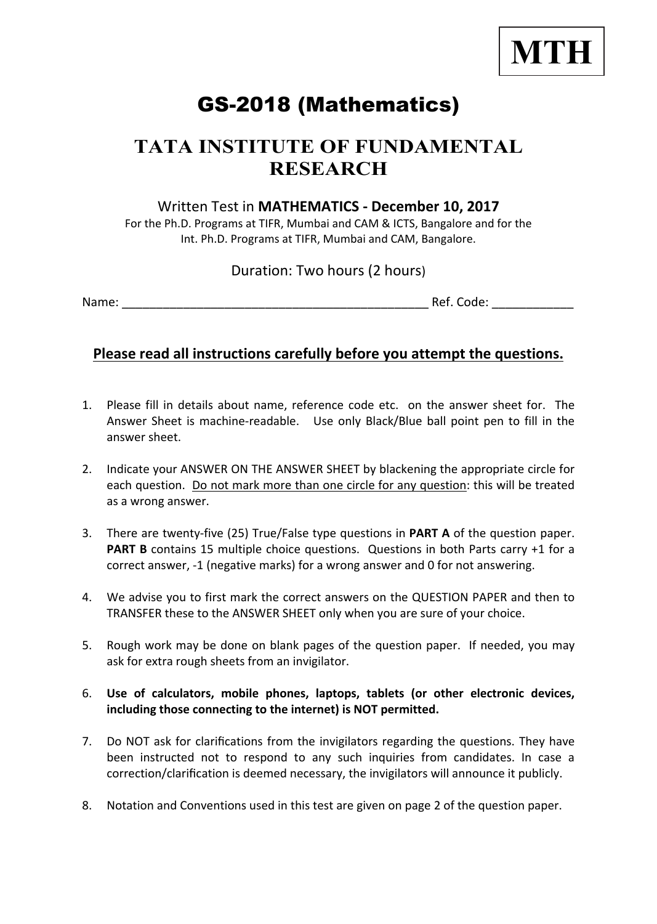

# GS-2018 (Mathematics)

## **TATA INSTITUTE OF FUNDAMENTAL RESEARCH**

#### Written Test in **MATHEMATICS - December 10, 2017**

For the Ph.D. Programs at TIFR, Mumbai and CAM & ICTS, Bangalore and for the Int. Ph.D. Programs at TIFR, Mumbai and CAM, Bangalore.

#### Duration: Two hours (2 hours)

Name: \_\_\_\_\_\_\_\_\_\_\_\_\_\_\_\_\_\_\_\_\_\_\_\_\_\_\_\_\_\_\_\_\_\_\_\_\_\_\_\_\_\_\_\_\_ Ref. Code: \_\_\_\_\_\_\_\_\_\_\_\_

#### **Please read all instructions carefully before you attempt the questions.**

- 1. Please fill in details about name, reference code etc. on the answer sheet for. The Answer Sheet is machine-readable. Use only Black/Blue ball point pen to fill in the answer sheet.
- 2. Indicate your ANSWER ON THE ANSWER SHEET by blackening the appropriate circle for each question. Do not mark more than one circle for any question: this will be treated as a wrong answer.
- 3. There are twenty-five (25) True/False type questions in **PART A** of the question paper. **PART B** contains 15 multiple choice questions. Questions in both Parts carry +1 for a correct answer, -1 (negative marks) for a wrong answer and 0 for not answering.
- 4. We advise you to first mark the correct answers on the QUESTION PAPER and then to TRANSFER these to the ANSWER SHEET only when you are sure of your choice.
- 5. Rough work may be done on blank pages of the question paper. If needed, you may ask for extra rough sheets from an invigilator.
- 6. **Use of calculators, mobile phones, laptops, tablets (or other electronic devices, including those connecting to the internet) is NOT permitted.**
- 7. Do NOT ask for clarifications from the invigilators regarding the questions. They have been instructed not to respond to any such inquiries from candidates. In case a correction/clarification is deemed necessary, the invigilators will announce it publicly.
- 8. Notation and Conventions used in this test are given on page 2 of the question paper.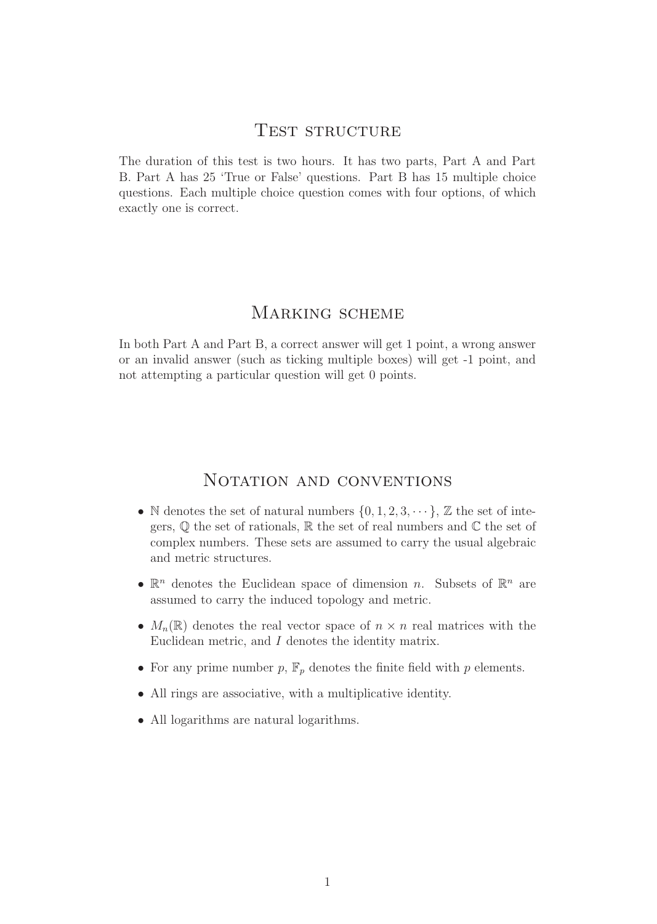#### TEST STRUCTURE

The duration of this test is two hours. It has two parts, Part A and Part B. Part A has 25 'True or False' questions. Part B has 15 multiple choice questions. Each multiple choice question comes with four options, of which exactly one is correct.

#### MARKING SCHEME

In both Part A and Part B, a correct answer will get 1 point, a wrong answer or an invalid answer (such as ticking multiple boxes) will get -1 point, and not attempting a particular question will get 0 points.

#### NOTATION AND CONVENTIONS

- N denotes the set of natural numbers  $\{0, 1, 2, 3, \dots\}$ ,  $\mathbb Z$  the set of integers,  $\mathbb Q$  the set of rationals,  $\mathbb R$  the set of real numbers and  $\mathbb C$  the set of complex numbers. These sets are assumed to carry the usual algebraic and metric structures.
- $\mathbb{R}^n$  denotes the Euclidean space of dimension n. Subsets of  $\mathbb{R}^n$  are assumed to carry the induced topology and metric.
- $M_n(\mathbb{R})$  denotes the real vector space of  $n \times n$  real matrices with the Euclidean metric, and I denotes the identity matrix.
- For any prime number  $p$ ,  $\mathbb{F}_p$  denotes the finite field with  $p$  elements.
- All rings are associative, with a multiplicative identity.
- All logarithms are natural logarithms.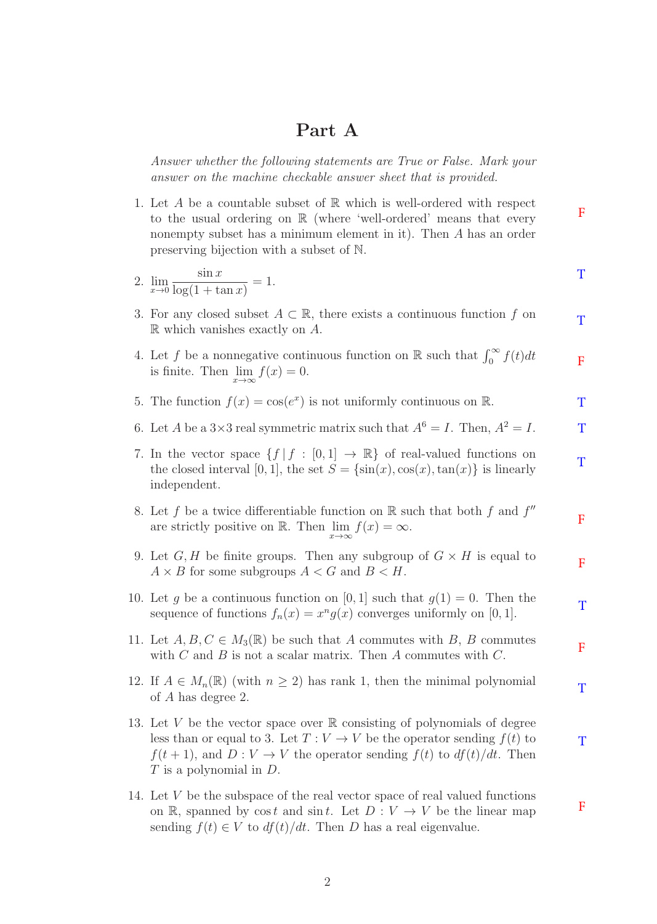#### **Part A**

Answer whether the following statements are True or False. Mark your answer on the machine checkable answer sheet that is provided.

1. Let A be a countable subset of  $\mathbb R$  which is well-ordered with respect to the usual ordering on  $\mathbb R$  (where 'well-ordered' means that every nonempty subset has a minimum element in it). Then A has an order preserving bijection with a subset of N. F

2. 
$$
\lim_{x \to 0} \frac{\sin x}{\log(1 + \tan x)} = 1.
$$

3. For any closed subset  $A \subset \mathbb{R}$ , there exists a continuous function f on  $\mathbb R$  which vanishes exactly on  $A$ .

T

T

F

T

F

T

F

- 4. Let f be a nonnegative continuous function on  $\mathbb R$  such that  $\int_0^\infty f(t)dt$ is finite. Then  $\lim_{x\to\infty}f(x) = 0$ . F
- 5. The function  $f(x) = \cos(e^x)$  is not uniformly continuous on R. T
- 6. Let A be a  $3\times 3$  real symmetric matrix such that  $A^6 = I$ . Then,  $A^2 = I$ . T
- 7. In the vector space  $\{f \mid f : [0,1] \to \mathbb{R}\}$  of real-valued functions on the closed interval [0, 1], the set  $S = {\sin(x), \cos(x), \tan(x)}$  is linearly independent.
- 8. Let f be a twice differentiable function on  $\mathbb R$  such that both f and  $f''$ are strictly positive on R. Then  $\lim_{x\to\infty}f(x) = \infty$ . F
- 9. Let  $G, H$  be finite groups. Then any subgroup of  $G \times H$  is equal to  $A \times B$  for some subgroups  $A \lt G$  and  $B \lt H$ .
- 10. Let g be a continuous function on [0, 1] such that  $g(1) = 0$ . Then the sequence of functions  $f_n(x) = x^n g(x)$  converges uniformly on [0, 1].
- 11. Let  $A, B, C \in M_3(\mathbb{R})$  be such that A commutes with B, B commutes with  $C$  and  $B$  is not a scalar matrix. Then  $A$  commutes with  $C$ .
- 12. If  $A \in M_n(\mathbb{R})$  (with  $n \geq 2$ ) has rank 1, then the minimal polynomial of A has degree 2. T
- 13. Let V be the vector space over  $\mathbb R$  consisting of polynomials of degree less than or equal to 3. Let  $T: V \to V$  be the operator sending  $f(t)$  to  $f(t + 1)$ , and  $D: V \to V$  the operator sending  $f(t)$  to  $df(t)/dt$ . Then  $T$  is a polynomial in  $D$ .
- 14. Let V be the subspace of the real vector space of real valued functions on R, spanned by cost and sint. Let  $D: V \to V$  be the linear map sending  $f(t) \in V$  to  $df(t)/dt$ . Then D has a real eigenvalue.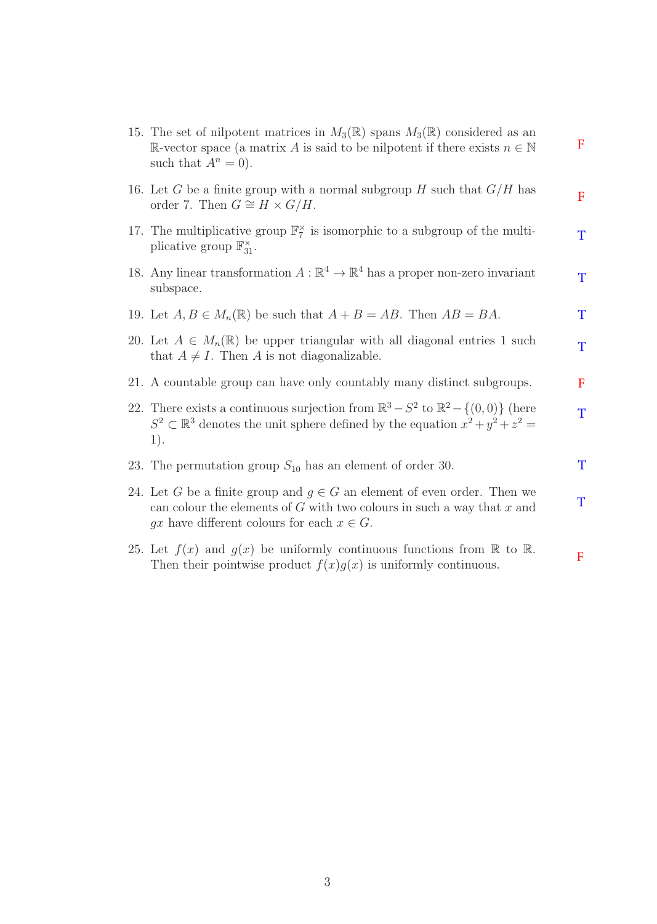| 15. The set of nilpotent matrices in $M_3(\mathbb{R})$ spans $M_3(\mathbb{R})$ considered as an<br>R-vector space (a matrix A is said to be nilpotent if there exists $n \in \mathbb{N}$<br>such that $A^n = 0$ ). | $\mathbf F$ |
|--------------------------------------------------------------------------------------------------------------------------------------------------------------------------------------------------------------------|-------------|
| 16. Let G be a finite group with a normal subgroup H such that $G/H$ has<br>order 7. Then $G \cong H \times G/H$ .                                                                                                 | $\mathbf F$ |
| 17. The multiplicative group $\mathbb{F}_7^{\times}$ is isomorphic to a subgroup of the multi-<br>plicative group $\mathbb{F}_{31}^{\times}$ .                                                                     | T           |
| 18. Any linear transformation $A : \mathbb{R}^4 \to \mathbb{R}^4$ has a proper non-zero invariant<br>subspace.                                                                                                     | T           |
| 19. Let $A, B \in M_n(\mathbb{R})$ be such that $A + B = AB$ . Then $AB = BA$ .                                                                                                                                    | T           |
| 20. Let $A \in M_n(\mathbb{R})$ be upper triangular with all diagonal entries 1 such<br>that $A \neq I$ . Then A is not diagonalizable.                                                                            | T           |
| 21. A countable group can have only countably many distinct subgroups.                                                                                                                                             | F           |
| 22. There exists a continuous surjection from $\mathbb{R}^3 - S^2$ to $\mathbb{R}^2 - \{(0,0)\}\$ (here<br>$S^2 \subset \mathbb{R}^3$ denotes the unit sphere defined by the equation $x^2 + y^2 + z^2 =$<br>1).   | T           |
| 23. The permutation group $S_{10}$ has an element of order 30.                                                                                                                                                     | T           |
| 24. Let G be a finite group and $g \in G$ an element of even order. Then we<br>can colour the elements of $G$ with two colours in such a way that $x$ and<br>gx have different colours for each $x \in G$ .        | T           |
| 25. Let $f(x)$ and $g(x)$ be uniformly continuous functions from $\mathbb R$ to $\mathbb R$ .<br>Then their pointwise product $f(x)g(x)$ is uniformly continuous.                                                  | $\mathbf F$ |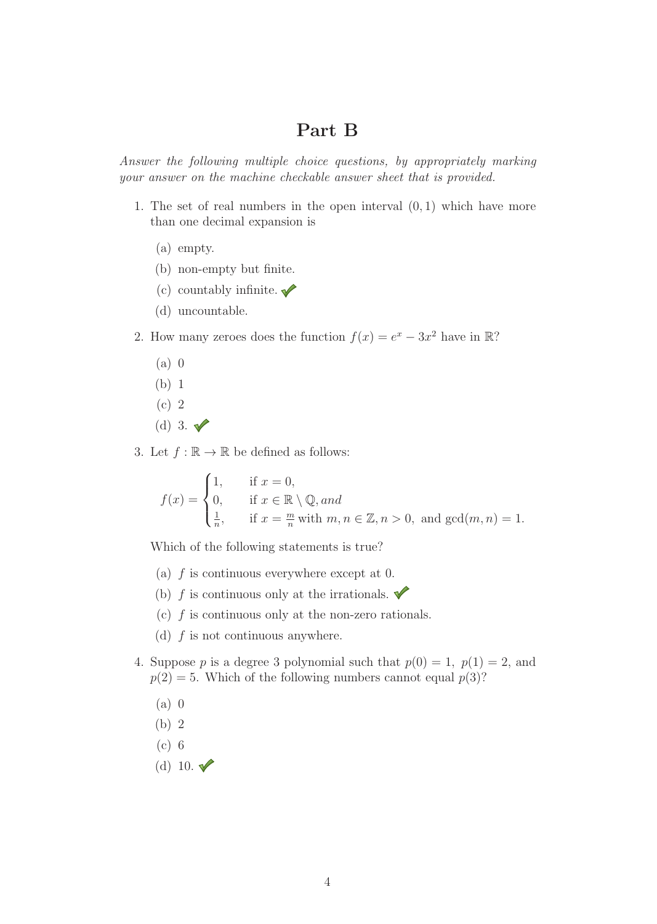### **Part B**

Answer the following multiple choice questions, by appropriately marking your answer on the machine checkable answer sheet that is provided.

- 1. The set of real numbers in the open interval  $(0, 1)$  which have more than one decimal expansion is
	- (a) empty.
	- (b) non-empty but finite.
	- (c) countably infinite.  $\sqrt{\phantom{a}}$
	- (d) uncountable.

2. How many zeroes does the function  $f(x) = e^x - 3x^2$  have in R?

- (a) 0
- (b) 1
- (c) 2
- (d) 3.  $\blacktriangledown$
- 3. Let  $f : \mathbb{R} \to \mathbb{R}$  be defined as follows:

$$
f(x) = \begin{cases} 1, & \text{if } x = 0, \\ 0, & \text{if } x \in \mathbb{R} \setminus \mathbb{Q}, \text{and} \\ \frac{1}{n}, & \text{if } x = \frac{m}{n} \text{ with } m, n \in \mathbb{Z}, n > 0, \text{ and } \gcd(m, n) = 1. \end{cases}
$$

Which of the following statements is true?

- (a)  $f$  is continuous everywhere except at 0.
- (b) f is continuous only at the irrationals.  $\blacklozenge$
- (c)  $f$  is continuous only at the non-zero rationals.
- (d)  $f$  is not continuous anywhere.
- 4. Suppose p is a degree 3 polynomial such that  $p(0) = 1$ ,  $p(1) = 2$ , and  $p(2) = 5$ . Which of the following numbers cannot equal  $p(3)$ ?
	- (a) 0
	- (b) 2
	- (c) 6
	- (d) 10.  $\sqrt{\ }$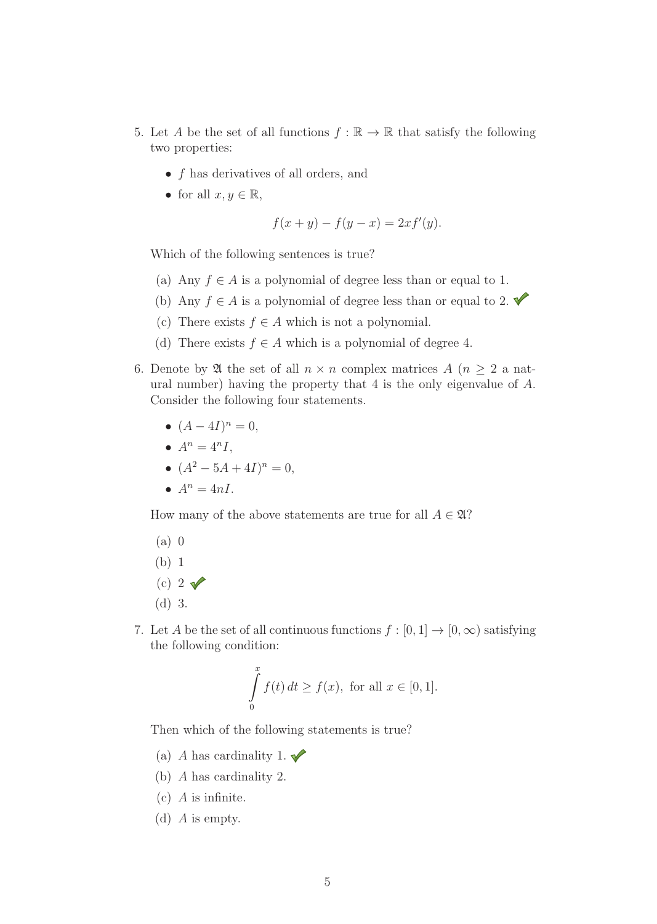- 5. Let A be the set of all functions  $f : \mathbb{R} \to \mathbb{R}$  that satisfy the following two properties:
	- f has derivatives of all orders, and
	- for all  $x, y \in \mathbb{R}$ ,

$$
f(x + y) - f(y - x) = 2xf'(y).
$$

Which of the following sentences is true?

- (a) Any  $f \in A$  is a polynomial of degree less than or equal to 1.
- (b) Any  $f \in A$  is a polynomial of degree less than or equal to 2.
- (c) There exists  $f \in A$  which is not a polynomial.
- (d) There exists  $f \in A$  which is a polynomial of degree 4.
- 6. Denote by  $\mathfrak A$  the set of all  $n \times n$  complex matrices  $A$   $(n \geq 2 \text{ a nat-}$ ural number) having the property that 4 is the only eigenvalue of A. Consider the following four statements.
	- $(A 4I)^n = 0$ ,
	- $A^n = 4^nI$ .
	- $(A^2 5A + 4I)^n = 0$ ,
	- $A^n = 4nI$ .

How many of the above statements are true for all  $A \in \mathfrak{A}$ ?

- (a) 0
- (b) 1
- (c) 2 $\sqrt{ }$
- (d) 3.
- 7. Let A be the set of all continuous functions  $f : [0,1] \to [0,\infty)$  satisfying the following condition:

$$
\int_{0}^{x} f(t) dt \ge f(x), \text{ for all } x \in [0, 1].
$$

Then which of the following statements is true?

- (a) A has cardinality 1.  $\blacktriangleright$
- (b) A has cardinality 2.
- (c) A is infinite.
- (d) A is empty.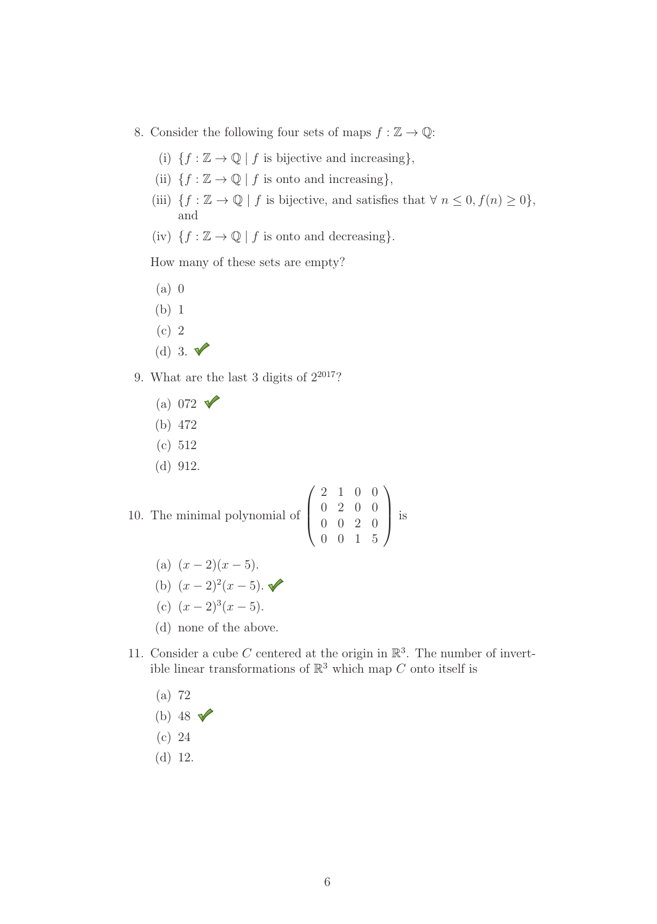- 8. Consider the following four sets of maps  $f : \mathbb{Z} \to \mathbb{Q}$ :
	- (i)  $\{f : \mathbb{Z} \to \mathbb{Q} \mid f \text{ is bijective and increasing}\},\$
	- (ii)  $\{f : \mathbb{Z} \to \mathbb{Q} \mid f \text{ is onto and increasing}\},\$
	- (iii)  $\{f: \mathbb{Z} \to \mathbb{Q} \mid f \text{ is bijective, and satisfies that } \forall n \leq 0, f(n) \geq 0\},\$ and
	- (iv)  $\{f : \mathbb{Z} \to \mathbb{Q} \mid f \text{ is onto and decreasing}\}.$

How many of these sets are empty?

- (a) 0
- (b) 1
- (c) 2
- (d) 3.  $\sqrt{ }$
- 9. What are the last 3 digits of  $2^{2017}$ ?
	- (a) 072  $\sqrt{ }$
	- (b) 472
	- (c) 512
	- (d) 912.

10. The minimal polynomial of 
$$
\begin{pmatrix} 2 & 1 & 0 & 0 \\ 0 & 2 & 0 & 0 \\ 0 & 0 & 2 & 0 \\ 0 & 0 & 1 & 5 \end{pmatrix}
$$
 is

- (a)  $(x-2)(x-5)$ .
- (b)  $(x-2)^2(x-5)$ .
- (c)  $(x-2)^3(x-5)$ .
- (d) none of the above.
- 11. Consider a cube C centered at the origin in  $\mathbb{R}^3$ . The number of invertible linear transformations of  $\mathbb{R}^3$  which map C onto itself is
	- (a) 72
	- (b) 48  $\sqrt{ }$
	- (c) 24
	- (d) 12.